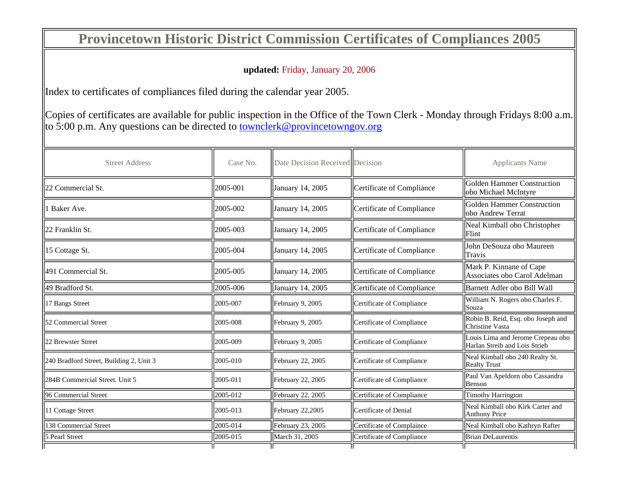## **Provincetown Historic District Commission Certificates of Compliances 2005**

## **updated:** Friday, January 20, 2006

Index to certificates of compliances filed during the calendar year 2005.

Copies of certificates are available for public inspection in the Office of the Town Clerk - Monday through Fridays 8:00 a.m.  $\vert$  to 5:00 p.m. Any questions can be directed to townclerk@provincetowngov.org

| <b>Street Address</b>                   | Case No.   | Date Decision Received Decision |                           | <b>Applicants Name</b>                                             |
|-----------------------------------------|------------|---------------------------------|---------------------------|--------------------------------------------------------------------|
| 22 Commercial St.                       | 2005-001   | January 14, 2005                | Certificate of Compliance | Golden Hammer Construction<br>lobo Michael McIntyre                |
| Baker Ave.                              | 2005-002   | January 14, 2005                | Certificate of Compliance | Golden Hammer Construction<br>lobo Andrew Terrat                   |
| 22 Franklin St.                         | ll2005-003 | January 14, 2005                | Certificate of Compliance | Neal Kimball obo Christopher<br><b>IFlint</b>                      |
| 15 Cottage St.                          | 12005-004  | January 14, 2005                | Certificate of Compliance | John DeSouza obo Maureen<br><b>Travis</b>                          |
| 491 Commercial St.                      | 12005-005  | January 14, 2005                | Certificate of Compliance | Mark P. Kinnane of Cape<br>Associates obo Carol Adelman            |
| 49 Bradford St.                         | 2005-006   | January 14, 2005                | Certificate of Compliance | Barnett Adler obo Bill Wall                                        |
| 17 Bangs Street                         | 12005-007  | February 9, 2005                | Certificate of Compliance | William N. Rogers obo Charles F.<br>Souza                          |
| 52 Commercial Street                    | 12005-008  | February 9, 2005                | Certificate of Compliance | Robin B. Reid, Esq. obo Joseph and<br>Christine Vasta              |
| 22 Brewster Street                      | 12005-009  | February 9, 2005                | Certificate of Compliance | Louis Lima and Jerome Crepeau obo<br>Harlan Streib and Lois Strieb |
| 240 Bradford Street, Building 2, Unit 3 | 12005-010  | February 22, 2005               | Certificate of Compliance | Neal Kimball obo 240 Realty St.<br><b>Realty Trust</b>             |
| 284B Commercial Street. Unit 5          | 12005-011  | February 22, 2005               | Certificate of Compliance | Paul Van Apeldorn obo Cassandra<br>Benson                          |
| 96 Commercial Street                    | 12005-012  | February 22, 2005               | Certificate of Compliance | Timothy Harrington                                                 |
| 11 Cottage Street                       | 12005-013  | February 22,2005                | Certificate of Denial     | Neal Kimball obo Kirk Carter and<br>Anthony Price                  |
| 138 Commercial Street                   | 12005-014  | February 23, 2005               | Certificate of Complaince | Neal Kimball obo Kathryn Rafter                                    |
| 5 Pearl Street                          | 12005-015  | March 31, 2005                  | Certificate of Compliance | <b>Brian DeLaurentis</b>                                           |
|                                         |            |                                 |                           |                                                                    |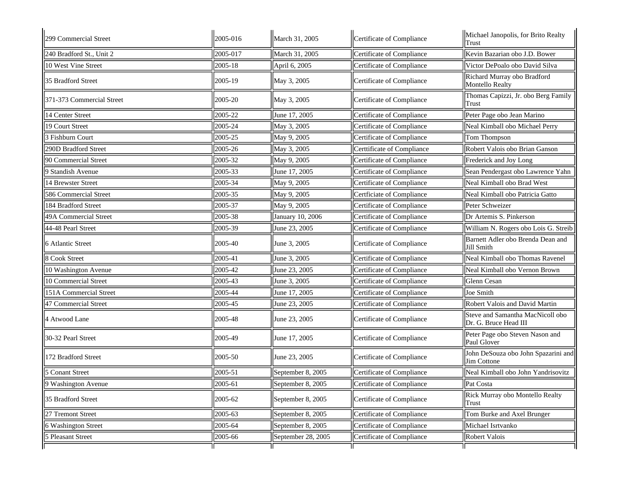| 299 Commercial Street     | 2005-016 | March 31, 2005     | Certificate of Compliance  | Michael Janopolis, for Brito Realty<br>Trust              |
|---------------------------|----------|--------------------|----------------------------|-----------------------------------------------------------|
| 240 Bradford St., Unit 2  | 2005-017 | March 31, 2005     | Certificate of Compliance  | Kevin Bazarian obo J.D. Bower                             |
| 10 West Vine Street       | 2005-18  | April 6, 2005      | Certificate of Compliance  | Victor DePoalo obo David Silva                            |
| 35 Bradford Street        | 2005-19  | May 3, 2005        | Certificate of Compliance  | Richard Murray obo Bradford<br>Montello Realty            |
| 371-373 Commercial Street | 2005-20  | May 3, 2005        | Certificate of Compliance  | Thomas Capizzi, Jr. obo Berg Family<br>Trust              |
| 14 Center Street          | 2005-22  | June 17, 2005      | Certificate of Compliance  | Peter Page obo Jean Marino                                |
| 19 Court Street           | 2005-24  | May 3, 2005        | Certificate of Compliance  | Neal Kimball obo Michael Perry                            |
| 3 Fishburn Court          | 2005-25  | May 9, 2005        | Certificate of Compliance  | Tom Thompson                                              |
| 290D Bradford Street      | 2005-26  | May 3, 2005        | Certtificate of Compliance | Robert Valois obo Brian Ganson                            |
| 90 Commercial Street      | 2005-32  | May 9, 2005        | Certificate of Compliance  | Frederick and Joy Long                                    |
| 9 Standish Avenue         | 2005-33  | June 17, 2005      | Certificate of Compliance  | Sean Pendergast obo Lawrence Yahn                         |
| 14 Brewster Street        | 2005-34  | May 9, 2005        | Certificate of Compliance  | Neal Kimball obo Brad West                                |
| 586 Commercial Street     | 2005-35  | May 9, 2005        | Certficiate of Compliance  | Neal Kimball obo Patricia Gatto                           |
| 184 Bradford Street       | 2005-37  | May 9, 2005        | Certificate of Compliance  | Peter Schweizer                                           |
| 49A Commercial Street     | 2005-38  | January 10, 2006   | Certificate of Compliance  | Dr Artemis S. Pinkerson                                   |
| 44-48 Pearl Street        | 2005-39  | June 23, 2005      | Certificate of Compliance  | William N. Rogers obo Lois G. Streib                      |
| 6 Atlantic Street         | 2005-40  | June 3, 2005       | Certificate of Compliance  | Barnett Adler obo Brenda Dean and<br>Jill Smith           |
| 8 Cook Street             | 2005-41  | June 3, 2005       | Certificate of Compliance  | Neal Kimball obo Thomas Ravenel                           |
| 10 Washington Avenue      | 2005-42  | June 23, 2005      | Certificate of Compliance  | Neal Kimball obo Vernon Brown                             |
| 10 Commercial Street      | 2005-43  | June 3, 2005       | Certificate of Compliance  | Glenn Cesan                                               |
| 151A Commercial Street    | 2005-44  | June 17, 2005      | Certificate of Compliance  | Joe Smith                                                 |
| 47 Commercial Street      | 2005-45  | June 23, 2005      | Certificate of Compliance  | Robert Valois and David Martin                            |
| 4 Atwood Lane             | 2005-48  | June 23, 2005      | Certificate of Compliance  | Steve and Samantha MacNicoll obo<br>Dr. G. Bruce Head III |
| 30-32 Pearl Street        | 2005-49  | June 17, 2005      | Certificate of Compliance  | Peter Page obo Steven Nason and<br>Paul Glover            |
| 172 Bradford Street       | 2005-50  | June 23, 2005      | Certificate of Compliance  | John DeSouza obo John Spazarini and<br>Jim Cottone        |
| 5 Conant Street           | 2005-51  | September 8, 2005  | Certificate of Compliance  | Neal Kimball obo John Yandrisovitz                        |
| 9 Washington Avenue       | 2005-61  | September 8, 2005  | Certificate of Compliance  | Pat Costa                                                 |
| 35 Bradford Street        | 2005-62  | September 8, 2005  | Certificate of Compliance  | Rick Murray obo Montello Realty<br>Trust                  |
| 27 Tremont Street         | 2005-63  | September 8, 2005  | Certificate of Compliance  | Tom Burke and Axel Brunger                                |
| 6 Washington Street       | 2005-64  | September 8, 2005  | Certificate of Compliance  | Michael Isrtvanko                                         |
| 5 Pleasant Street         | 2005-66  | September 28, 2005 | Certificate of Compliance  | Robert Valois                                             |
|                           |          |                    |                            |                                                           |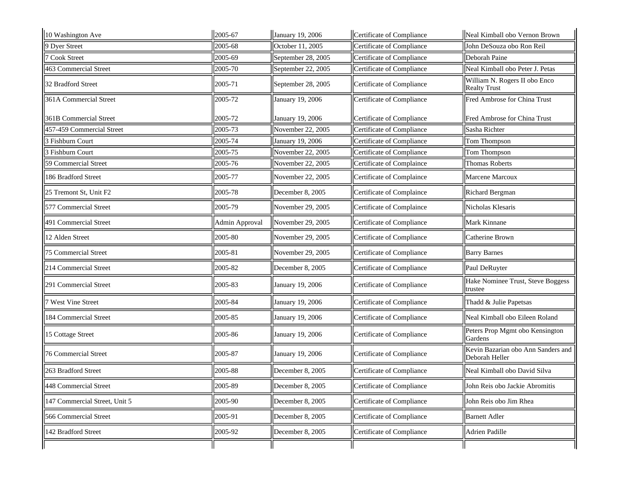| 10 Washington Ave             | 2005-67        | January 19, 2006   | Certificate of Compliance | Neal Kimball obo Vernon Brown                        |
|-------------------------------|----------------|--------------------|---------------------------|------------------------------------------------------|
| 9 Dyer Street                 | 2005-68        | October 11, 2005   | Certificate of Compliance | John DeSouza obo Ron Reil                            |
| 7 Cook Street                 | 2005-69        | September 28, 2005 | Certificate of Compliance | Deborah Paine                                        |
| 463 Commercial Street         | 2005-70        | September 22, 2005 | Certificate of Compliance | Neal Kimball obo Peter J. Petas                      |
| 32 Bradford Street            | 2005-71        | September 28, 2005 | Certificate of Compliance | William N. Rogers II obo Enco<br><b>Realty Trust</b> |
| 361A Commercial Street        | 2005-72        | January 19, 2006   | Certificate of Compliance | Fred Ambrose for China Trust                         |
| <b>361B Commercial Street</b> | 2005-72        | January 19, 2006   | Certificate of Compliance | Fred Ambrose for China Trust                         |
| 457-459 Commercial Street     | 2005-73        | November 22, 2005  | Certificate of Compliance | Sasha Richter                                        |
| 3 Fishburn Court              | 2005-74        | January 19, 2006   | Certificate of Compliance | Tom Thompson                                         |
| 3 Fishburn Court              | 2005-75        | November 22, 2005  | Certificate of Compliance | Tom Thompson                                         |
| 59 Commercial Street          | 2005-76        | November 22, 2005  | Certificate of Complaince | <b>Thomas Roberts</b>                                |
| 186 Bradford Street           | 2005-77        | November 22, 2005  | Certificate of Complaince | Marcene Marcoux                                      |
| 25 Tremont St, Unit F2        | 2005-78        | December 8, 2005   | Certificate of Complaince | Richard Bergman                                      |
| 577 Commercial Street         | 2005-79        | November 29, 2005  | Certificate of Complaince | Nicholas Klesaris                                    |
| 491 Commercial Street         | Admin Approval | November 29, 2005  | Certificate of Compliance | Mark Kinnane                                         |
| 12 Alden Street               | 2005-80        | November 29, 2005  | Certificate of Compliance | Catherine Brown                                      |
| <b>75 Commercial Street</b>   | 2005-81        | November 29, 2005  | Certificate of Compliance | <b>Barry Barnes</b>                                  |
| 214 Commercial Street         | 2005-82        | December 8, 2005   | Certificate of Compliance | Paul DeRuyter                                        |
| 291 Commercial Street         | 2005-83        | January 19, 2006   | Certificate of Compliance | Hake Nominee Trust, Steve Boggess<br>trustee         |
| 7 West Vine Street            | 2005-84        | January 19, 2006   | Certificate of Compliance | Thadd & Julie Papetsas                               |
| 184 Commercial Street         | 2005-85        | January 19, 2006   | Certificate of Compliance | Neal Kimball obo Eileen Roland                       |
| 15 Cottage Street             | 2005-86        | January 19, 2006   | Certificate of Compliance | Peters Prop Mgmt obo Kensington<br>Gardens           |
| <b>76 Commercial Street</b>   | 2005-87        | January 19, 2006   | Certificate of Compliance | Kevin Bazarian obo Ann Sanders and<br>Deborah Heller |
| 263 Bradford Street           | 2005-88        | December 8, 2005   | Certificate of Compliance | Neal Kimball obo David Silva                         |
| 448 Commercial Street         | 2005-89        | December 8, 2005   | Certificate of Compliance | John Reis obo Jackie Abromitis                       |
| 147 Commercial Street, Unit 5 | 2005-90        | December 8, 2005   | Certificate of Compliance | John Reis obo Jim Rhea                               |
| 566 Commercial Street         | 2005-91        | December 8, 2005   | Certificate of Compliance | <b>Barnett Adler</b>                                 |
| 142 Bradford Street           | 2005-92        | December 8, 2005   | Certificate of Compliance | Adrien Padille                                       |
|                               |                |                    |                           |                                                      |